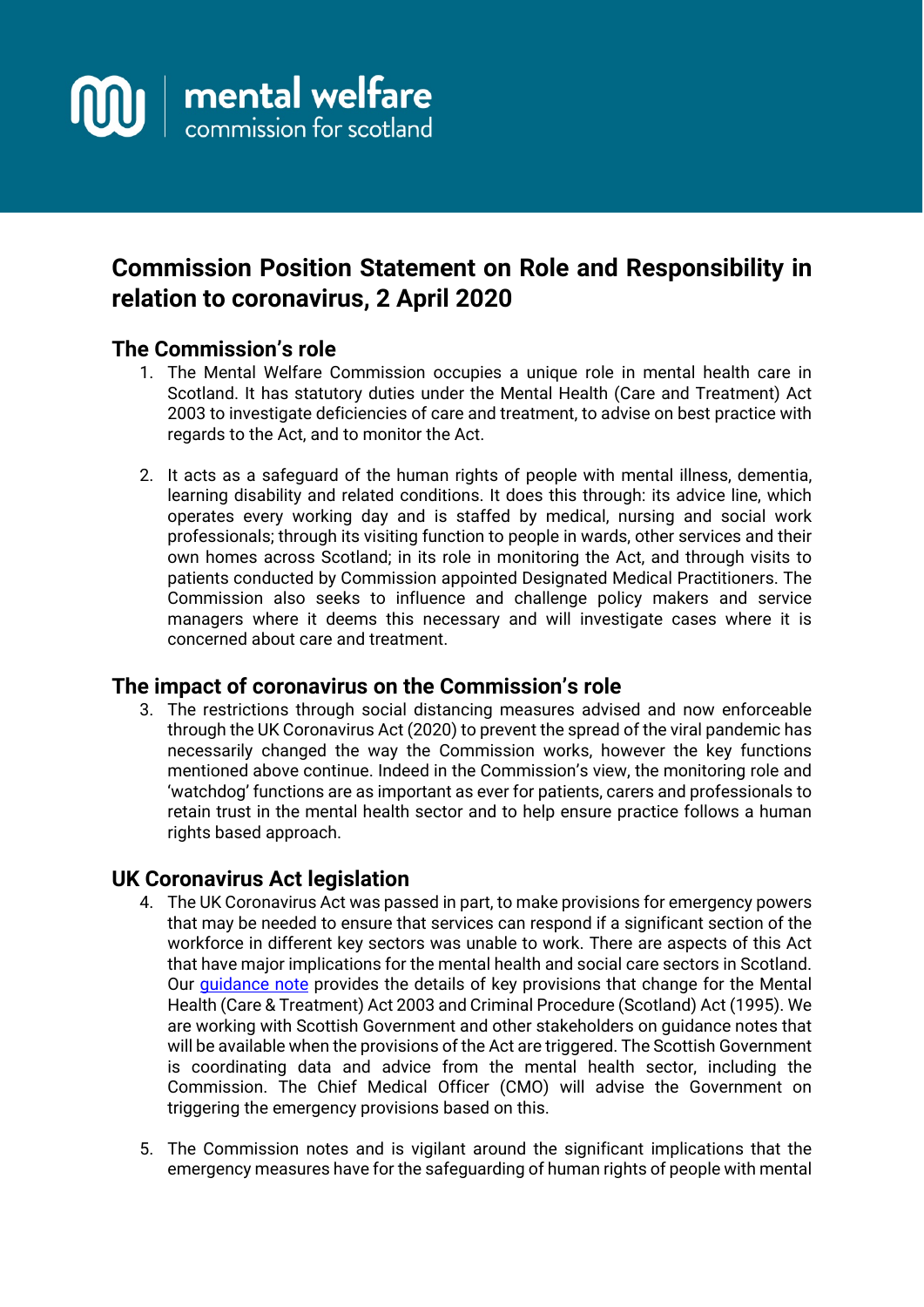

# **Commission Position Statement on Role and Responsibility in relation to coronavirus, 2 April 2020**

## **The Commission's role**

- 1. The Mental Welfare Commission occupies a unique role in mental health care in Scotland. It has statutory duties under the Mental Health (Care and Treatment) Act 2003 to investigate deficiencies of care and treatment, to advise on best practice with regards to the Act, and to monitor the Act.
- 2. It acts as a safeguard of the human rights of people with mental illness, dementia, learning disability and related conditions. It does this through: its advice line, which operates every working day and is staffed by medical, nursing and social work professionals; through its visiting function to people in wards, other services and their own homes across Scotland; in its role in monitoring the Act, and through visits to patients conducted by Commission appointed Designated Medical Practitioners. The Commission also seeks to influence and challenge policy makers and service managers where it deems this necessary and will investigate cases where it is concerned about care and treatment.

#### **The impact of coronavirus on the Commission's role**

3. The restrictions through social distancing measures advised and now enforceable through the UK Coronavirus Act (2020) to prevent the spread of the viral pandemic has necessarily changed the way the Commission works, however the key functions mentioned above continue. Indeed in the Commission's view, the monitoring role and 'watchdog' functions are as important as ever for patients, carers and professionals to retain trust in the mental health sector and to help ensure practice follows a human rights based approach.

# **UK Coronavirus Act legislation**

- 4. The UK Coronavirus Act was passed in part, to make provisions for emergency powers that may be needed to ensure that services can respond if a significant section of the workforce in different key sectors was unable to work. There are aspects of this Act that have major implications for the mental health and social care sectors in Scotland. Our quidance note provides the details of key provisions that change for the Mental Health (Care & Treatment) Act 2003 and Criminal Procedure (Scotland) Act (1995). We are working with Scottish Government and other stakeholders on guidance notes that will be available when the provisions of the Act are triggered. The Scottish Government is coordinating data and advice from the mental health sector, including the Commission. The Chief Medical Officer (CMO) will advise the Government on triggering the emergency provisions based on this.
- 5. The Commission notes and is vigilant around the significant implications that the emergency measures have for the safeguarding of human rights of people with mental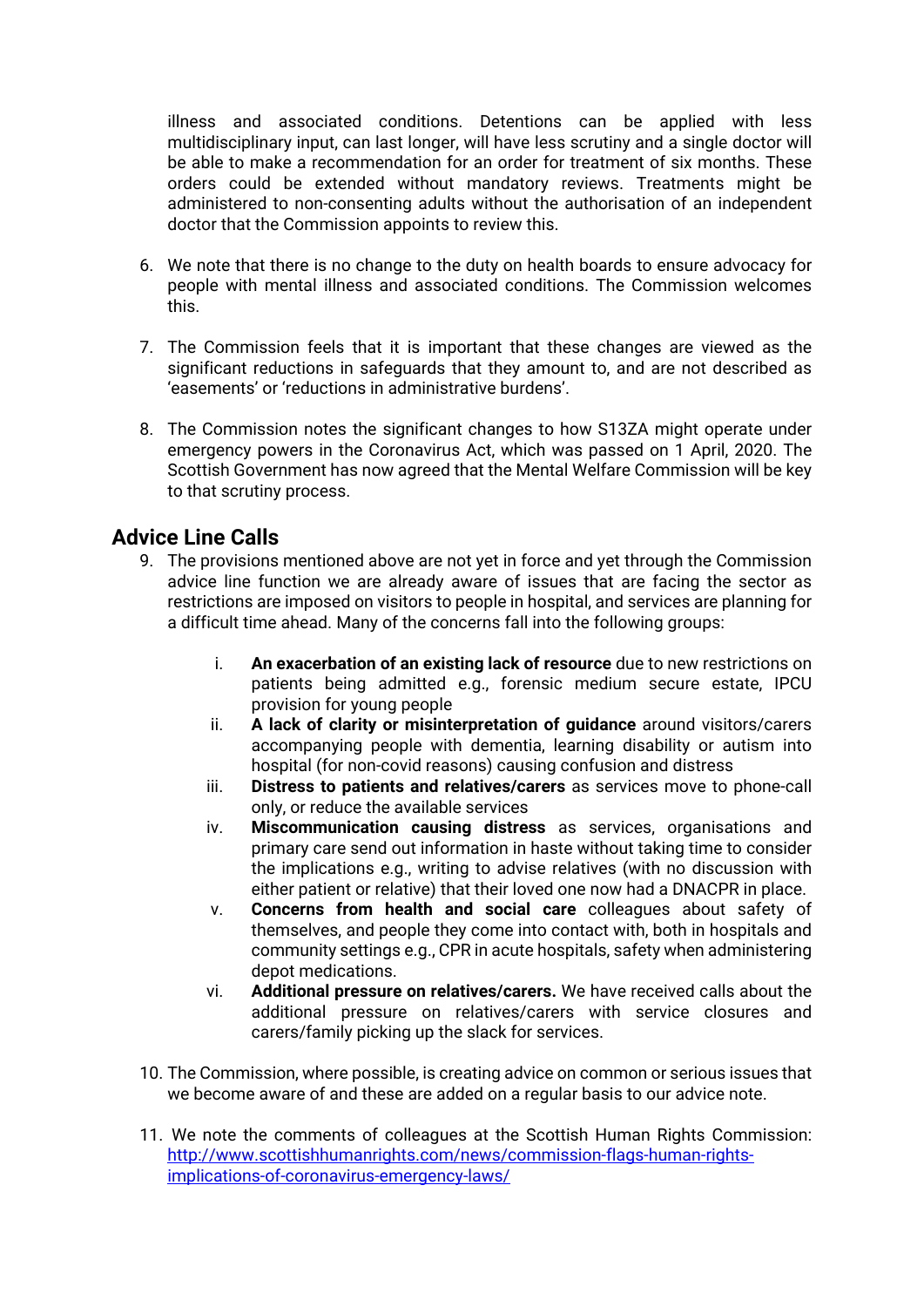illness and associated conditions. Detentions can be applied with less multidisciplinary input, can last longer, will have less scrutiny and a single doctor will be able to make a recommendation for an order for treatment of six months. These orders could be extended without mandatory reviews. Treatments might be administered to non-consenting adults without the authorisation of an independent doctor that the Commission appoints to review this.

- 6. We note that there is no change to the duty on health boards to ensure advocacy for people with mental illness and associated conditions. The Commission welcomes this.
- 7. The Commission feels that it is important that these changes are viewed as the significant reductions in safeguards that they amount to, and are not described as 'easements' or 'reductions in administrative burdens'.
- 8. The Commission notes the significant changes to how S13ZA might operate under emergency powers in the Coronavirus Act, which was passed on 1 April, 2020. The Scottish Government has now agreed that the Mental Welfare Commission will be key to that scrutiny process.

## **Advice Line Calls**

- 9. The provisions mentioned above are not yet in force and yet through the Commission advice line function we are already aware of issues that are facing the sector as restrictions are imposed on visitors to people in hospital, and services are planning for a difficult time ahead. Many of the concerns fall into the following groups:
	- i. **An exacerbation of an existing lack of resource** due to new restrictions on patients being admitted e.g., forensic medium secure estate, IPCU provision for young people
	- ii. **A lack of clarity or misinterpretation of guidance** around visitors/carers accompanying people with dementia, learning disability or autism into hospital (for non-covid reasons) causing confusion and distress
	- iii. **Distress to patients and relatives/carers** as services move to phone-call only, or reduce the available services
	- iv. **Miscommunication causing distress** as services, organisations and primary care send out information in haste without taking time to consider the implications e.g., writing to advise relatives (with no discussion with either patient or relative) that their loved one now had a DNACPR in place.
	- v. **Concerns from health and social care** colleagues about safety of themselves, and people they come into contact with, both in hospitals and community settings e.g., CPR in acute hospitals, safety when administering depot medications.
	- vi. **Additional pressure on relatives/carers.** We have received calls about the additional pressure on relatives/carers with service closures and carers/family picking up the slack for services.
- 10. The Commission, where possible, is creating advice on common or serious issues that we become aware of and these are added on a regular basis to our advice note.
- 11. We note the comments of colleagues at the Scottish Human Rights Commission: [http://www.scottishhumanrights.com/news/commission-flags-human-rights](http://www.scottishhumanrights.com/news/commission-flags-human-rights-implications-of-coronavirus-emergency-laws/)[implications-of-coronavirus-emergency-laws/](http://www.scottishhumanrights.com/news/commission-flags-human-rights-implications-of-coronavirus-emergency-laws/)